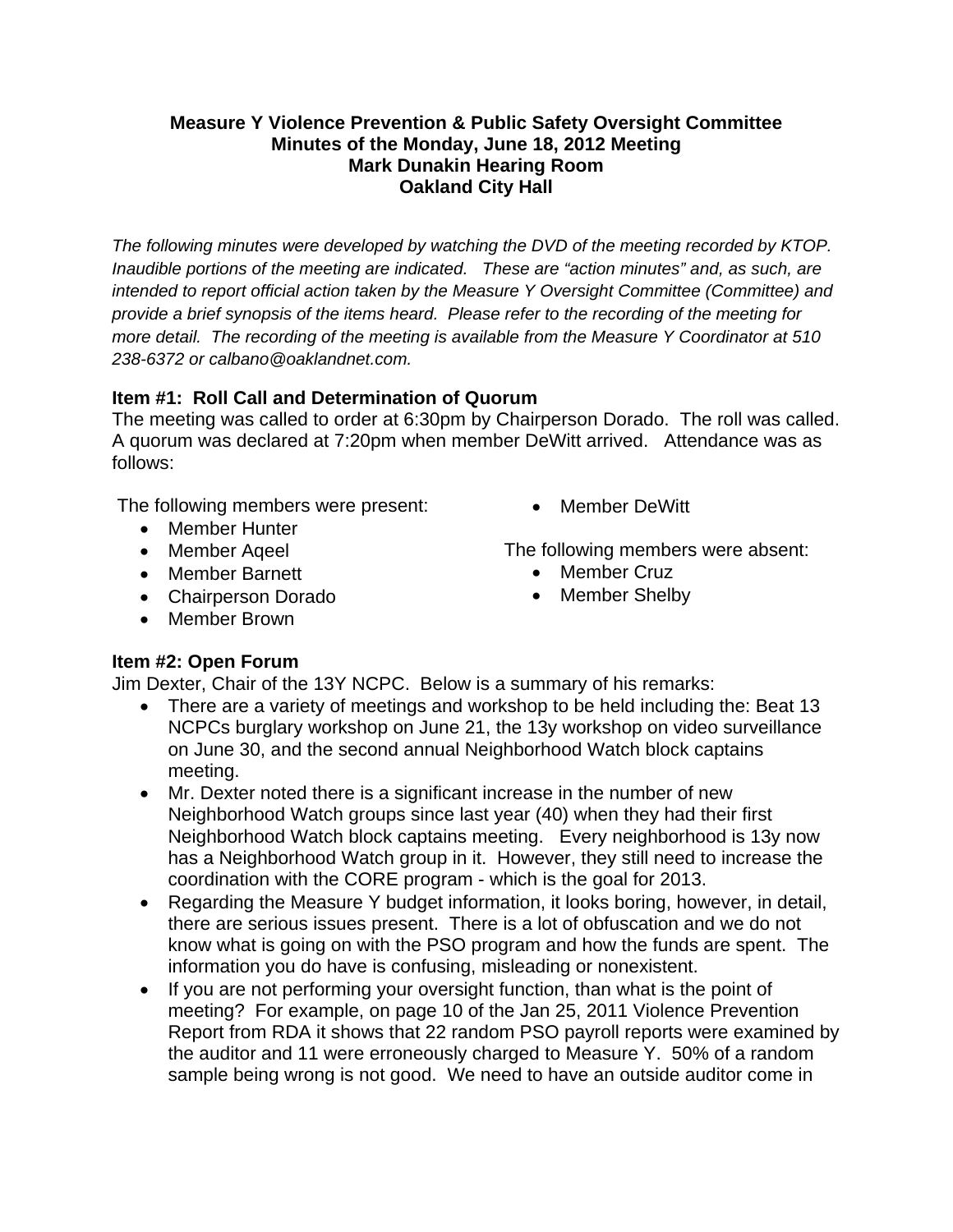#### **Measure Y Violence Prevention & Public Safety Oversight Committee Minutes of the Monday, June 18, 2012 Meeting Mark Dunakin Hearing Room Oakland City Hall**

*The following minutes were developed by watching the DVD of the meeting recorded by KTOP. Inaudible portions of the meeting are indicated. These are "action minutes" and, as such, are intended to report official action taken by the Measure Y Oversight Committee (Committee) and provide a brief synopsis of the items heard. Please refer to the recording of the meeting for more detail. The recording of the meeting is available from the Measure Y Coordinator at 510 238-6372 or calbano@oaklandnet.com.* 

# **Item #1: Roll Call and Determination of Quorum**

The meeting was called to order at 6:30pm by Chairperson Dorado. The roll was called. A quorum was declared at 7:20pm when member DeWitt arrived. Attendance was as follows:

The following members were present:

- Member Hunter
- Member Aqeel
- Member Barnett
- Chairperson Dorado

• Member DeWitt

The following members were absent:

- Member Cruz
- Member Shelby

• Member Brown

# **Item #2: Open Forum**

Jim Dexter, Chair of the 13Y NCPC. Below is a summary of his remarks:

- There are a variety of meetings and workshop to be held including the: Beat 13 NCPCs burglary workshop on June 21, the 13y workshop on video surveillance on June 30, and the second annual Neighborhood Watch block captains meeting.
- Mr. Dexter noted there is a significant increase in the number of new Neighborhood Watch groups since last year (40) when they had their first Neighborhood Watch block captains meeting. Every neighborhood is 13y now has a Neighborhood Watch group in it. However, they still need to increase the coordination with the CORE program - which is the goal for 2013.
- Regarding the Measure Y budget information, it looks boring, however, in detail, there are serious issues present. There is a lot of obfuscation and we do not know what is going on with the PSO program and how the funds are spent. The information you do have is confusing, misleading or nonexistent.
- If you are not performing your oversight function, than what is the point of meeting? For example, on page 10 of the Jan 25, 2011 Violence Prevention Report from RDA it shows that 22 random PSO payroll reports were examined by the auditor and 11 were erroneously charged to Measure Y. 50% of a random sample being wrong is not good. We need to have an outside auditor come in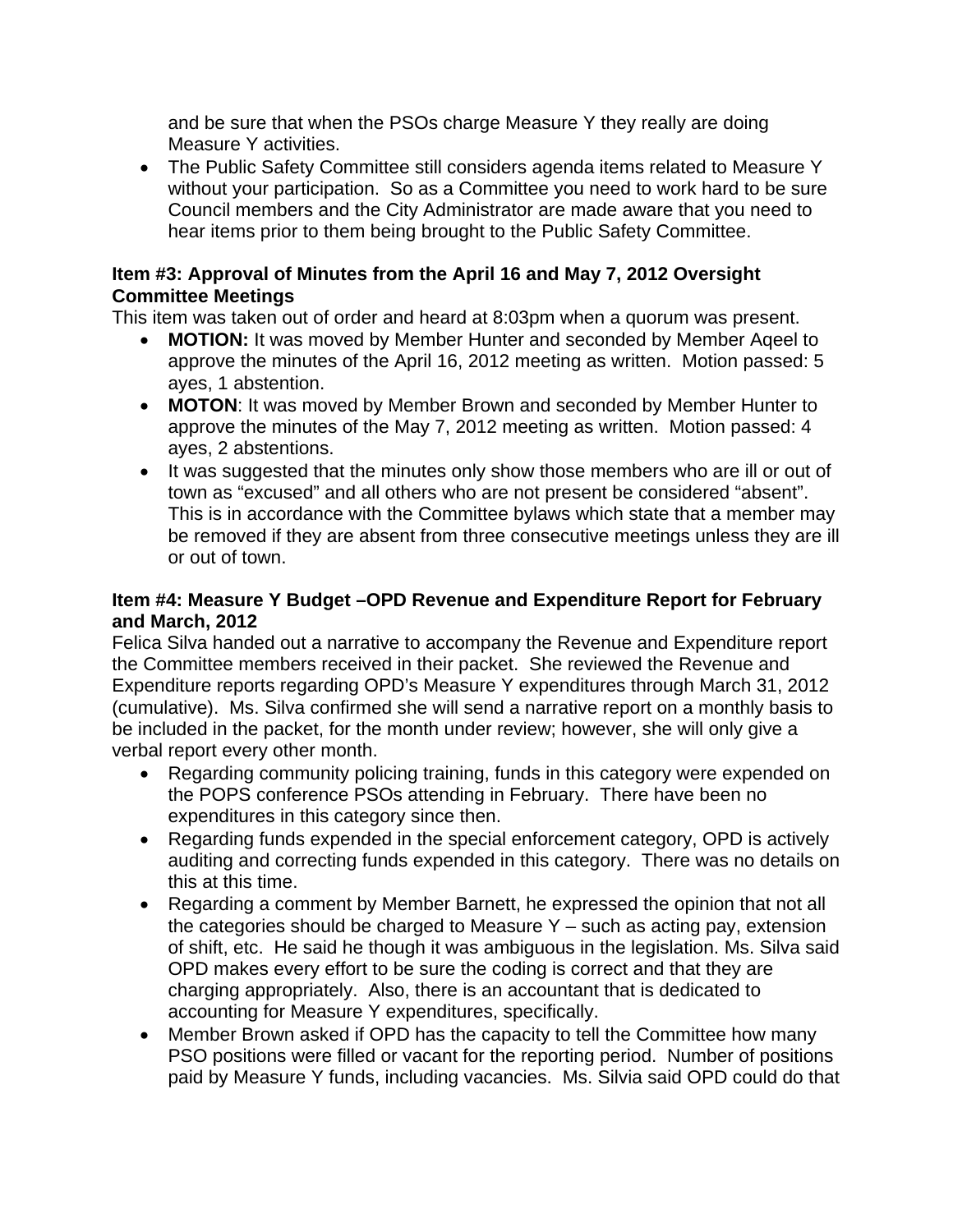and be sure that when the PSOs charge Measure Y they really are doing Measure Y activities.

• The Public Safety Committee still considers agenda items related to Measure Y without your participation. So as a Committee you need to work hard to be sure Council members and the City Administrator are made aware that you need to hear items prior to them being brought to the Public Safety Committee.

### **Item #3: Approval of Minutes from the April 16 and May 7, 2012 Oversight Committee Meetings**

This item was taken out of order and heard at 8:03pm when a quorum was present.

- **MOTION:** It was moved by Member Hunter and seconded by Member Aqeel to approve the minutes of the April 16, 2012 meeting as written. Motion passed: 5 ayes, 1 abstention.
- **MOTON**: It was moved by Member Brown and seconded by Member Hunter to approve the minutes of the May 7, 2012 meeting as written. Motion passed: 4 ayes, 2 abstentions.
- It was suggested that the minutes only show those members who are ill or out of town as "excused" and all others who are not present be considered "absent". This is in accordance with the Committee bylaws which state that a member may be removed if they are absent from three consecutive meetings unless they are ill or out of town.

## **Item #4: Measure Y Budget –OPD Revenue and Expenditure Report for February and March, 2012**

Felica Silva handed out a narrative to accompany the Revenue and Expenditure report the Committee members received in their packet. She reviewed the Revenue and Expenditure reports regarding OPD's Measure Y expenditures through March 31, 2012 (cumulative). Ms. Silva confirmed she will send a narrative report on a monthly basis to be included in the packet, for the month under review; however, she will only give a verbal report every other month.

- Regarding community policing training, funds in this category were expended on the POPS conference PSOs attending in February. There have been no expenditures in this category since then.
- Regarding funds expended in the special enforcement category, OPD is actively auditing and correcting funds expended in this category. There was no details on this at this time.
- Regarding a comment by Member Barnett, he expressed the opinion that not all the categories should be charged to Measure Y – such as acting pay, extension of shift, etc. He said he though it was ambiguous in the legislation. Ms. Silva said OPD makes every effort to be sure the coding is correct and that they are charging appropriately. Also, there is an accountant that is dedicated to accounting for Measure Y expenditures, specifically.
- Member Brown asked if OPD has the capacity to tell the Committee how many PSO positions were filled or vacant for the reporting period. Number of positions paid by Measure Y funds, including vacancies. Ms. Silvia said OPD could do that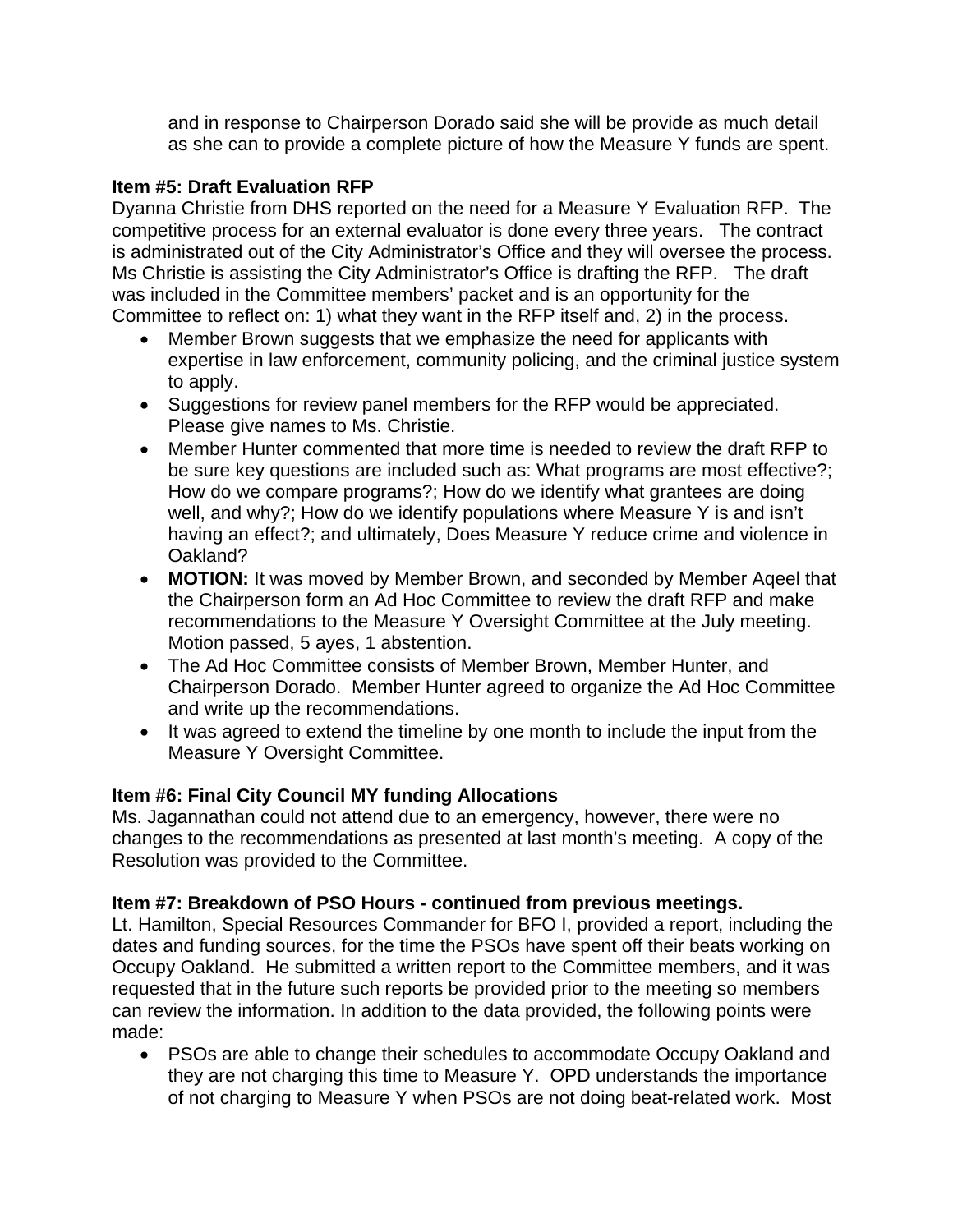and in response to Chairperson Dorado said she will be provide as much detail as she can to provide a complete picture of how the Measure Y funds are spent.

#### **Item #5: Draft Evaluation RFP**

Dyanna Christie from DHS reported on the need for a Measure Y Evaluation RFP. The competitive process for an external evaluator is done every three years. The contract is administrated out of the City Administrator's Office and they will oversee the process. Ms Christie is assisting the City Administrator's Office is drafting the RFP. The draft was included in the Committee members' packet and is an opportunity for the Committee to reflect on: 1) what they want in the RFP itself and, 2) in the process.

- Member Brown suggests that we emphasize the need for applicants with expertise in law enforcement, community policing, and the criminal justice system to apply.
- Suggestions for review panel members for the RFP would be appreciated. Please give names to Ms. Christie.
- Member Hunter commented that more time is needed to review the draft RFP to be sure key questions are included such as: What programs are most effective?; How do we compare programs?; How do we identify what grantees are doing well, and why?; How do we identify populations where Measure Y is and isn't having an effect?; and ultimately, Does Measure Y reduce crime and violence in Oakland?
- **MOTION:** It was moved by Member Brown, and seconded by Member Aqeel that the Chairperson form an Ad Hoc Committee to review the draft RFP and make recommendations to the Measure Y Oversight Committee at the July meeting. Motion passed, 5 ayes, 1 abstention.
- The Ad Hoc Committee consists of Member Brown, Member Hunter, and Chairperson Dorado. Member Hunter agreed to organize the Ad Hoc Committee and write up the recommendations.
- It was agreed to extend the timeline by one month to include the input from the Measure Y Oversight Committee.

## **Item #6: Final City Council MY funding Allocations**

Ms. Jagannathan could not attend due to an emergency, however, there were no changes to the recommendations as presented at last month's meeting. A copy of the Resolution was provided to the Committee.

#### **Item #7: Breakdown of PSO Hours - continued from previous meetings.**

Lt. Hamilton, Special Resources Commander for BFO I, provided a report, including the dates and funding sources, for the time the PSOs have spent off their beats working on Occupy Oakland. He submitted a written report to the Committee members, and it was requested that in the future such reports be provided prior to the meeting so members can review the information. In addition to the data provided, the following points were made:

• PSOs are able to change their schedules to accommodate Occupy Oakland and they are not charging this time to Measure Y. OPD understands the importance of not charging to Measure Y when PSOs are not doing beat-related work. Most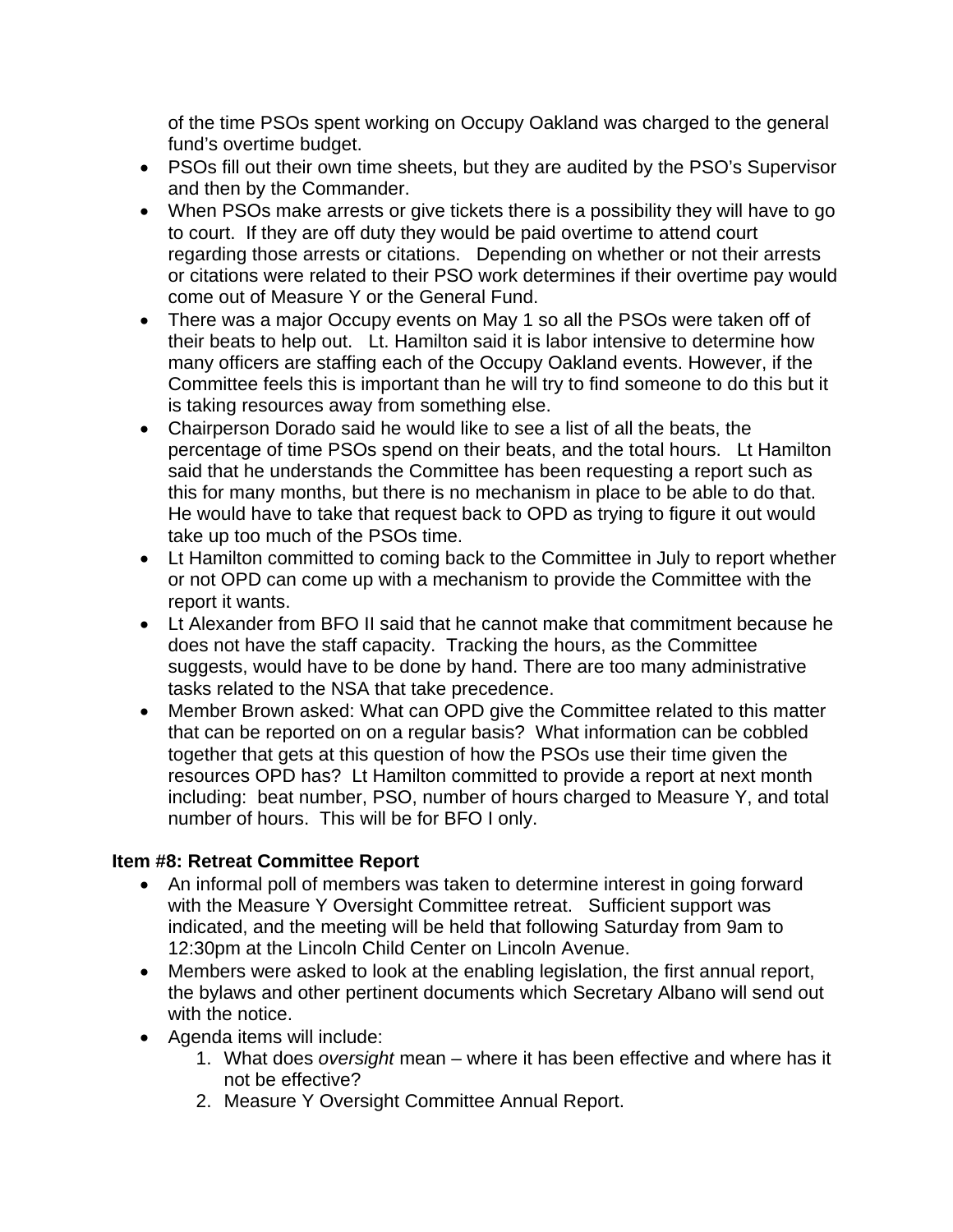of the time PSOs spent working on Occupy Oakland was charged to the general fund's overtime budget.

- PSOs fill out their own time sheets, but they are audited by the PSO's Supervisor and then by the Commander.
- When PSOs make arrests or give tickets there is a possibility they will have to go to court. If they are off duty they would be paid overtime to attend court regarding those arrests or citations. Depending on whether or not their arrests or citations were related to their PSO work determines if their overtime pay would come out of Measure Y or the General Fund.
- There was a major Occupy events on May 1 so all the PSOs were taken off of their beats to help out. Lt. Hamilton said it is labor intensive to determine how many officers are staffing each of the Occupy Oakland events. However, if the Committee feels this is important than he will try to find someone to do this but it is taking resources away from something else.
- Chairperson Dorado said he would like to see a list of all the beats, the percentage of time PSOs spend on their beats, and the total hours. Lt Hamilton said that he understands the Committee has been requesting a report such as this for many months, but there is no mechanism in place to be able to do that. He would have to take that request back to OPD as trying to figure it out would take up too much of the PSOs time.
- Lt Hamilton committed to coming back to the Committee in July to report whether or not OPD can come up with a mechanism to provide the Committee with the report it wants.
- Lt Alexander from BFO II said that he cannot make that commitment because he does not have the staff capacity. Tracking the hours, as the Committee suggests, would have to be done by hand. There are too many administrative tasks related to the NSA that take precedence.
- Member Brown asked: What can OPD give the Committee related to this matter that can be reported on on a regular basis? What information can be cobbled together that gets at this question of how the PSOs use their time given the resources OPD has? Lt Hamilton committed to provide a report at next month including: beat number, PSO, number of hours charged to Measure Y, and total number of hours. This will be for BFO I only.

## **Item #8: Retreat Committee Report**

- An informal poll of members was taken to determine interest in going forward with the Measure Y Oversight Committee retreat. Sufficient support was indicated, and the meeting will be held that following Saturday from 9am to 12:30pm at the Lincoln Child Center on Lincoln Avenue.
- Members were asked to look at the enabling legislation, the first annual report, the bylaws and other pertinent documents which Secretary Albano will send out with the notice.
- Agenda items will include:
	- 1. What does *oversight* mean where it has been effective and where has it not be effective?
	- 2. Measure Y Oversight Committee Annual Report.